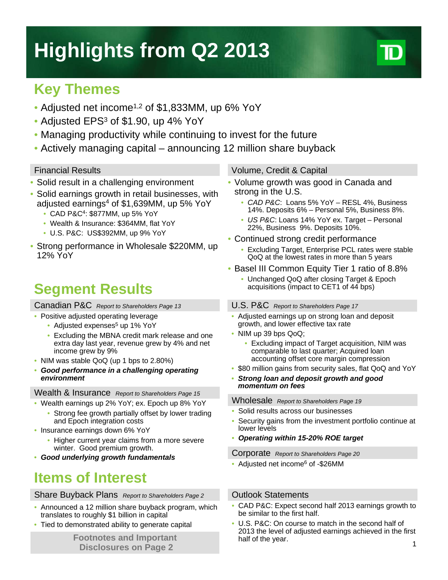# **Highlights from Q2 2013**

## **Key Themes**

- Adjusted net income<sup>1,2</sup> of \$1,833MM, up 6% YoY
- Adjusted EPS<sup>3</sup> of \$1.90, up 4% YoY
- Managing productivity while continuing to invest for the future
- Actively managing capital announcing 12 million share buyback

- Solid result in a challenging environment
- Solid earnings growth in retail businesses, with adjusted earnings<sup>4</sup> of \$1,639MM, up 5% YoY
	- CAD P&C4: \$877MM, up 5% YoY
	- Wealth & Insurance: \$364MM, flat YoY
	- U.S. P&C: US\$392MM, up 9% YoY
- Strong performance in Wholesale \$220MM, up 12% YoY

## **Segment Results**

Canadian P&C *Report to Shareholders Page 13*

- Positive adjusted operating leverage
	- Adjusted expenses<sup>5</sup> up 1% YoY
	- Excluding the MBNA credit mark release and one extra day last year, revenue grew by 4% and net income grew by 9%
- NIM was stable QoQ (up 1 bps to 2.80%)
- *Good performance in a challenging operating environment*

### Wealth & Insurance *Report to Shareholders Page 15*

- Wealth earnings up 2% YoY; ex. Epoch up 8% YoY
	- Strong fee growth partially offset by lower trading and Epoch integration costs
- Insurance earnings down 6% YoY
	- Higher current year claims from a more severe winter. Good premium growth.
- *Good underlying growth fundamentals*

## **Items of Interest**

### Share Buyback Plans Report to Shareholders Page 2 **Outlook Statements**

- Announced a 12 million share buyback program, which translates to roughly \$1 billion in capital
- Tied to demonstrated ability to generate capital

**Disclosures on Page 2**

### Financial Results Volume, Credit & Capital

- Volume growth was good in Canada and strong in the U.S.
	- *CAD P&C*: Loans 5% YoY RESL 4%, Business 14%. Deposits 6% – Personal 5%, Business 8%.
	- *US P&C*: Loans 14% YoY ex. Target Personal 22%, Business 9%. Deposits 10%.
- Continued strong credit performance
	- Excluding Target, Enterprise PCL rates were stable QoQ at the lowest rates in more than 5 years
- Basel III Common Equity Tier 1 ratio of 8.8%
	- Unchanged QoQ after closing Target & Epoch acquisitions (impact to CET1 of 44 bps)

### U.S. P&C *Report to Shareholders Page 17*

- Adjusted earnings up on strong loan and deposit growth, and lower effective tax rate
- NIM up 39 bps QoQ;
	- Excluding impact of Target acquisition, NIM was comparable to last quarter; Acquired loan accounting offset core margin compression
- \$80 million gains from security sales, flat QoQ and YoY
- *Strong loan and deposit growth and good momentum on fees*

### Wholesale *Report to Shareholders Page 19*

- Solid results across our businesses
- Security gains from the investment portfolio continue at lower levels
- *Operating within 15-20% ROE target*

Corporate *Report to Shareholders Page 20*

• Adjusted net income<sup>6</sup> of -\$26MM

- CAD P&C: Expect second half 2013 earnings growth to be similar to the first half.
- **Footnotes and Important half of the year. Contract the Second Line Contract of the Second Line Contract of the Second Line Contract of the Number of Tension Contract of the Vear.** • U.S. P&C: On course to match in the second half of 2013 the level of adjusted earnings achieved in the first half of the year.